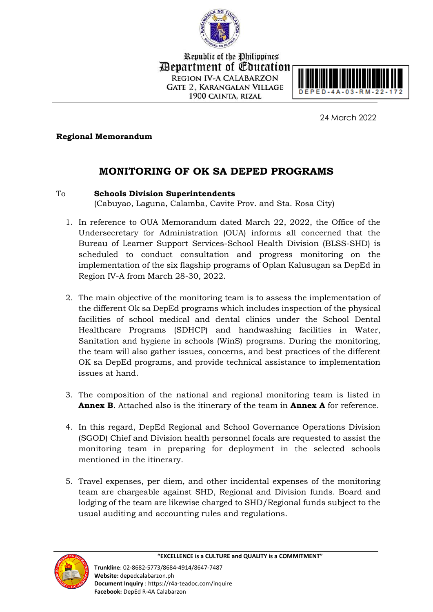

Republic of the Philippines *Department of Education* **REGION IV-A CALABARZON GATE 2. KARANGALAN VILLAGE** 1900 CAINTA, RIZAL



24 March 2022

## **Regional Memorandum**

# **MONITORING OF OK SA DEPED PROGRAMS**

## To **Schools Division Superintendents**

(Cabuyao, Laguna, Calamba, Cavite Prov. and Sta. Rosa City)

- 1. In reference to OUA Memorandum dated March 22, 2022, the Office of the Undersecretary for Administration (OUA) informs all concerned that the Bureau of Learner Support Services-School Health Division (BLSS-SHD) is scheduled to conduct consultation and progress monitoring on the implementation of the six flagship programs of Oplan Kalusugan sa DepEd in Region IV-A from March 28-30, 2022.
- 2. The main objective of the monitoring team is to assess the implementation of the different Ok sa DepEd programs which includes inspection of the physical facilities of school medical and dental clinics under the School Dental Healthcare Programs (SDHCP) and handwashing facilities in Water, Sanitation and hygiene in schools (WinS) programs. During the monitoring, the team will also gather issues, concerns, and best practices of the different OK sa DepEd programs, and provide technical assistance to implementation issues at hand.
- 3. The composition of the national and regional monitoring team is listed in **Annex B**. Attached also is the itinerary of the team in **Annex A** for reference.
- 4. In this regard, DepEd Regional and School Governance Operations Division (SGOD) Chief and Division health personnel focals are requested to assist the monitoring team in preparing for deployment in the selected schools mentioned in the itinerary.
- 5. Travel expenses, per diem, and other incidental expenses of the monitoring team are chargeable against SHD, Regional and Division funds. Board and lodging of the team are likewise charged to SHD/Regional funds subject to the usual auditing and accounting rules and regulations.

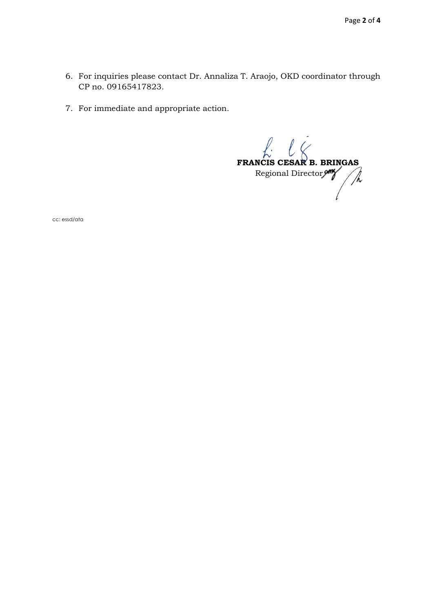- 6. For inquiries please contact Dr. Annaliza T. Araojo, OKD coordinator through CP no. 09165417823.
- 7. For immediate and appropriate action.

 $\ell$ . **FRANCIS CESAR B. BRINGAS**<br>Regional Director Regional Director

cc: essd/ata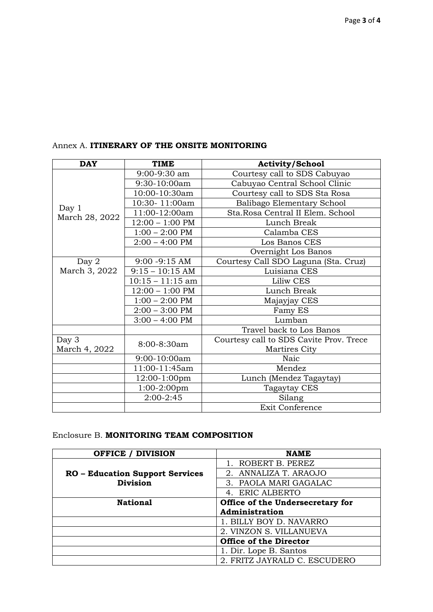| <b>DAY</b>              | <b>TIME</b>               | <b>Activity/School</b>                  |
|-------------------------|---------------------------|-----------------------------------------|
| Day 1<br>March 28, 2022 | 9:00-9:30 am              | Courtesy call to SDS Cabuyao            |
|                         | 9:30-10:00am              | Cabuyao Central School Clinic           |
|                         | 10:00-10:30am             | Courtesy call to SDS Sta Rosa           |
|                         | 10:30-11:00am             | Balibago Elementary School              |
|                         | 11:00-12:00am             | Sta.Rosa Central II Elem. School        |
|                         | $12:00 - 1:00$ PM         | Lunch Break                             |
|                         | $1:00 - 2:00$ PM          | Calamba CES                             |
|                         | $2:00 - 4:00$ PM          | Los Banos CES                           |
|                         |                           | Overnight Los Banos                     |
| Day 2                   | $9:00 - 9:15$ AM          | Courtesy Call SDO Laguna (Sta. Cruz)    |
| March 3, 2022           | $9:15 - 10:15$ AM         | Luisiana CES                            |
|                         | $10:15 - 11:15$ am        | Liliw CES                               |
|                         | $12:00 - 1:00 \text{ PM}$ | Lunch Break                             |
|                         | $1:00 - 2:00 \text{ PM}$  | Majayjay CES                            |
|                         | $2:00 - 3:00$ PM          | Famy ES                                 |
|                         | $3:00 - 4:00$ PM          | Lumban                                  |
|                         |                           | Travel back to Los Banos                |
| Day 3                   | 8:00-8:30am               | Courtesy call to SDS Cavite Prov. Trece |
| March 4, 2022           |                           | Martires City                           |
|                         | 9:00-10:00am              | Naic                                    |
|                         | 11:00-11:45am             | Mendez                                  |
|                         | 12:00-1:00pm              | Lunch (Mendez Tagaytay)                 |
|                         | 1:00-2:00pm               | Tagaytay CES                            |
|                         | $2:00-2:45$               | Silang                                  |
|                         |                           | Exit Conference                         |

#### Annex A. **ITINERARY OF THE ONSITE MONITORING**

### Enclosure B. **MONITORING TEAM COMPOSITION**

| <b>OFFICE / DIVISION</b>               | <b>NAME</b>                      |
|----------------------------------------|----------------------------------|
|                                        | 1. ROBERT B. PEREZ               |
| <b>RO</b> - Education Support Services | 2. ANNALIZA T. ARAOJO            |
| <b>Division</b>                        | 3. PAOLA MARI GAGALAC            |
|                                        | 4. ERIC ALBERTO                  |
| <b>National</b>                        | Office of the Undersecretary for |
|                                        | Administration                   |
|                                        | 1. BILLY BOY D. NAVARRO          |
|                                        | 2. VINZON S. VILLANUEVA          |
|                                        | <b>Office of the Director</b>    |
|                                        | 1. Dir. Lope B. Santos           |
|                                        | 2. FRITZ JAYRALD C. ESCUDERO     |